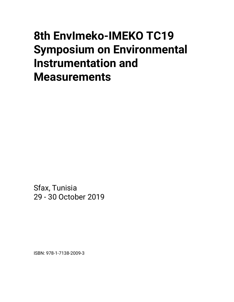# **8th EnvImeko-IMEKO TC19 Symposium on Environmental Instrumentation and Measurements**

Sfax, Tunisia 29 - 30 October 2019

ISBN: 978-1-7138-2009-3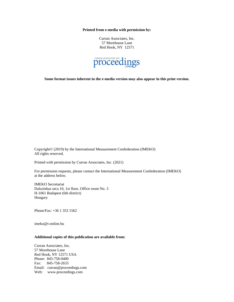**Printed from e-media with permission by:**

Curran Associates, Inc. 57 Morehouse Lane Red Hook, NY 12571



**Some format issues inherent in the e-media version may also appear in this print version.**

Copyright© (2019) by the International Measurement Confederation (IMEKO) All rights reserved.

Printed with permission by Curran Associates, Inc. (2021)

For permission requests, please contact the International Measurement Confederation (IMEKO) at the address below.

IMEKO Secretariat Dalszinhaz utca 10, 1st floor, Office room No. 3 H-1061 Budapest (6th district) Hungary

Phone/Fax: +36 1 353 1562

imeko@t-online.hu

## **Additional copies of this publication are available from:**

Curran Associates, Inc. 57 Morehouse Lane Red Hook, NY 12571 USA Phone: 845-758-0400 Fax: 845-758-2633 Email: curran@proceedings.com Web: www.proceedings.com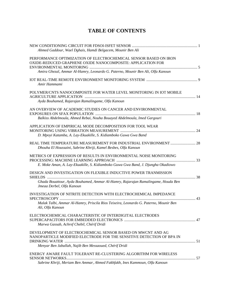## **TABLE OF CONTENTS**

| Ahmed Gaddour, Wael Dghais, Hamdi Belgacem, Mounir Ben Ali                                                                                                                                                        |  |
|-------------------------------------------------------------------------------------------------------------------------------------------------------------------------------------------------------------------|--|
| PERFORMANCE OPTIMIZATION OF ELECTROCHEMICAL SENSOR BASED ON IRON<br>OXIDE-REDUCED GRAPHENE OXIDE NANOCOMPOSITE: APPLICATION FOR<br>Amira Ghezal, Ammar Al-Hamry, Leonardo G. Paterno, Mounir Ben Ali, Olfa Kanoun |  |
| Amir Hammami                                                                                                                                                                                                      |  |
| POLYMER/CNTS NANOCOMPOSITE FOR WATER LEVEL MONITORING IN IOT MOBILE<br>Ayda Bouhamed, Rajarajan Ramalingame, Olfa Kanoun                                                                                          |  |
| AN OVERVIEW OF ACADEMIC STUDIES ON CANCER AND ENVIRONMENTAL<br>Balkiss Abdelmoula, Ahmed Rebai, Nouha Bouayed Abdelmoula, Imed Gargouri                                                                           |  |
| APPLICATION OF EMPIRICAL MODE DECOMPOSITION FOR TOOL WEAR<br>D. Mpoyi Katamba, A. Lay-Ekuakille, S. Kidiamboko Guwa Gwa Band                                                                                      |  |
| REAL TIME TEMPERATURE MEASUREMENT FOR INDUSTRIAL ENVIRONMENT  28<br>Dhouha El Houssaini, Sabrine Khriji, Kamel Besbes, Olfa Kanoun                                                                                |  |
| METRICS OF EXPRESSION OF RESULTS IN ENVIRONMENTAL NOISE MONITORING<br>E. Moke Aman, A. Lay-Ekuakille, S. Kidiamboko Guwa Gwa Band, J. Djungha Okadiowo                                                            |  |
| DESIGN AND INVESTIGATION ON FLEXIBLE INDUCTIVE POWER TRANMISSION<br>Ghada Bouattour, Ayda Bouhamed, Ammar Al-Hamry, Rajarajan Ramalingame, Houda Ben<br>Jmeaa Derbel, Olfa Kanoun                                 |  |
| INVESTIGATION OF NITRITE DETECTION WITH ELECTROCHEMICAL IMPEDANCE<br>Malak Talbi, Ammar Al-Hamry, Priscila Rios Teixeira, Leonardo G. Paterno, Mounir Ben<br>Ali, Olfa Kanoun                                     |  |
| ELECTROCHEMICAL CHARACTERISTIC OF INTERDIGITAL ELECTRODES<br>Marwa Gassab, Achref Chebil, Chérif Dridi                                                                                                            |  |
| DEVELOPMENT OF ELECTROCHEMICAL SENSOR BASED ON MWCNT AND AG<br>NANOPARTICLE MODIFIED ELECTRODE FOR THE SENSITIVE DETECTION OF BPA IN<br>Menyar Ben Jaballah, Najib Ben Messaoued, Chérif Dridi                    |  |
| ENERGY AWARE FAULT TOLERANT RE-CLUSTERING ALGORITHM FOR WIRELESS<br>Sabrine Khriji, Meriam Ben Ammar, Ahmed Fakhfakh, Ines Kammoun, Olfa Kanoun                                                                   |  |